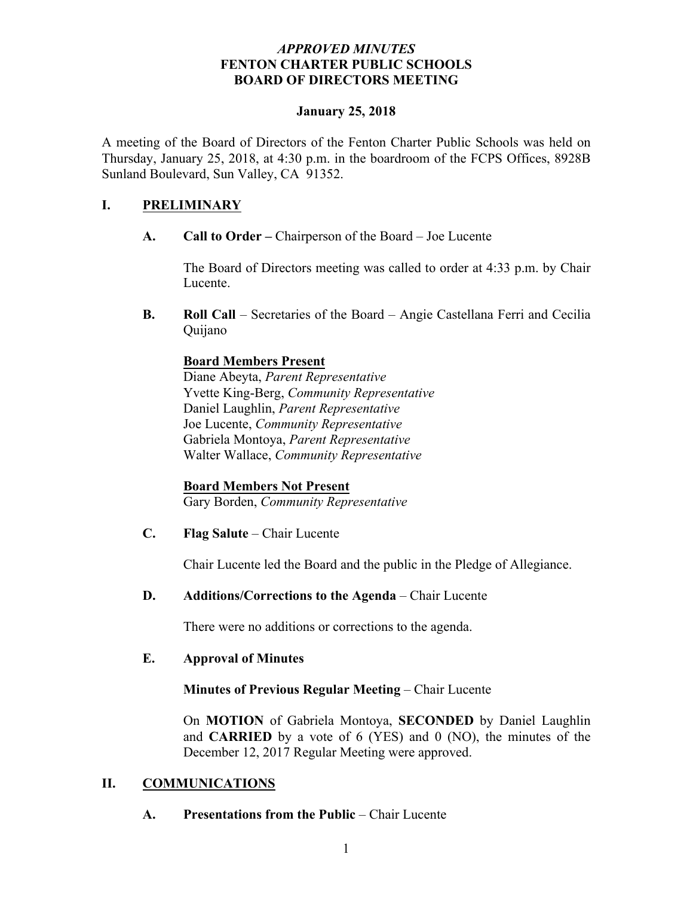#### *APPROVED MINUTES*  **FENTON CHARTER PUBLIC SCHOOLS BOARD OF DIRECTORS MEETING**

#### **January 25, 2018**

A meeting of the Board of Directors of the Fenton Charter Public Schools was held on Thursday, January 25, 2018, at 4:30 p.m. in the boardroom of the FCPS Offices, 8928B Sunland Boulevard, Sun Valley, CA 91352.

## **I. PRELIMINARY**

**A. Call to Order –** Chairperson of the Board – Joe Lucente

The Board of Directors meeting was called to order at 4:33 p.m. by Chair Lucente.

**B. Roll Call** – Secretaries of the Board – Angie Castellana Ferri and Cecilia Quijano

### **Board Members Present**

Diane Abeyta, *Parent Representative* Yvette King-Berg, *Community Representative* Daniel Laughlin, *Parent Representative* Joe Lucente, *Community Representative* Gabriela Montoya, *Parent Representative* Walter Wallace, *Community Representative*

## **Board Members Not Present**

Gary Borden, *Community Representative*

**C. Flag Salute** – Chair Lucente

Chair Lucente led the Board and the public in the Pledge of Allegiance.

#### **D. Additions/Corrections to the Agenda** – Chair Lucente

There were no additions or corrections to the agenda.

#### **E. Approval of Minutes**

#### **Minutes of Previous Regular Meeting** – Chair Lucente

On **MOTION** of Gabriela Montoya, **SECONDED** by Daniel Laughlin and **CARRIED** by a vote of 6 (YES) and 0 (NO), the minutes of the December 12, 2017 Regular Meeting were approved.

#### **II. COMMUNICATIONS**

**A. Presentations from the Public** – Chair Lucente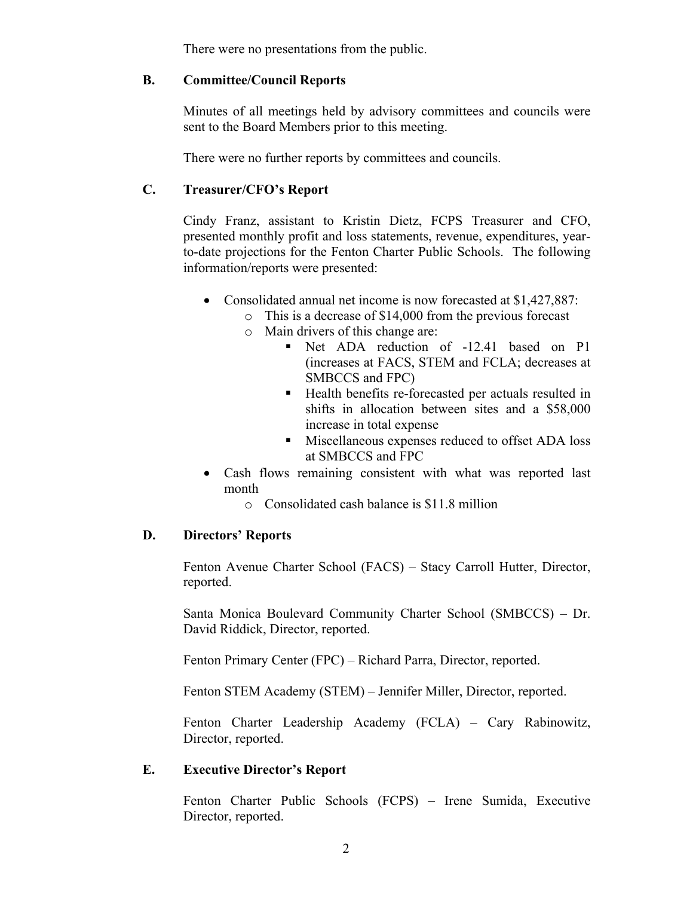There were no presentations from the public.

#### **B. Committee/Council Reports**

Minutes of all meetings held by advisory committees and councils were sent to the Board Members prior to this meeting.

There were no further reports by committees and councils.

## **C. Treasurer/CFO's Report**

Cindy Franz, assistant to Kristin Dietz, FCPS Treasurer and CFO, presented monthly profit and loss statements, revenue, expenditures, yearto-date projections for the Fenton Charter Public Schools. The following information/reports were presented:

- Consolidated annual net income is now forecasted at \$1,427,887:
	- o This is a decrease of \$14,000 from the previous forecast
	- o Main drivers of this change are:
		- § Net ADA reduction of -12.41 based on P1 (increases at FACS, STEM and FCLA; decreases at SMBCCS and FPC)
		- Health benefits re-forecasted per actuals resulted in shifts in allocation between sites and a \$58,000 increase in total expense
		- Miscellaneous expenses reduced to offset ADA loss at SMBCCS and FPC
- Cash flows remaining consistent with what was reported last month
	- o Consolidated cash balance is \$11.8 million

#### **D. Directors' Reports**

Fenton Avenue Charter School (FACS) – Stacy Carroll Hutter, Director, reported.

Santa Monica Boulevard Community Charter School (SMBCCS) – Dr. David Riddick, Director, reported.

Fenton Primary Center (FPC) – Richard Parra, Director, reported.

Fenton STEM Academy (STEM) – Jennifer Miller, Director, reported.

Fenton Charter Leadership Academy (FCLA) – Cary Rabinowitz, Director, reported.

#### **E. Executive Director's Report**

Fenton Charter Public Schools (FCPS) – Irene Sumida, Executive Director, reported.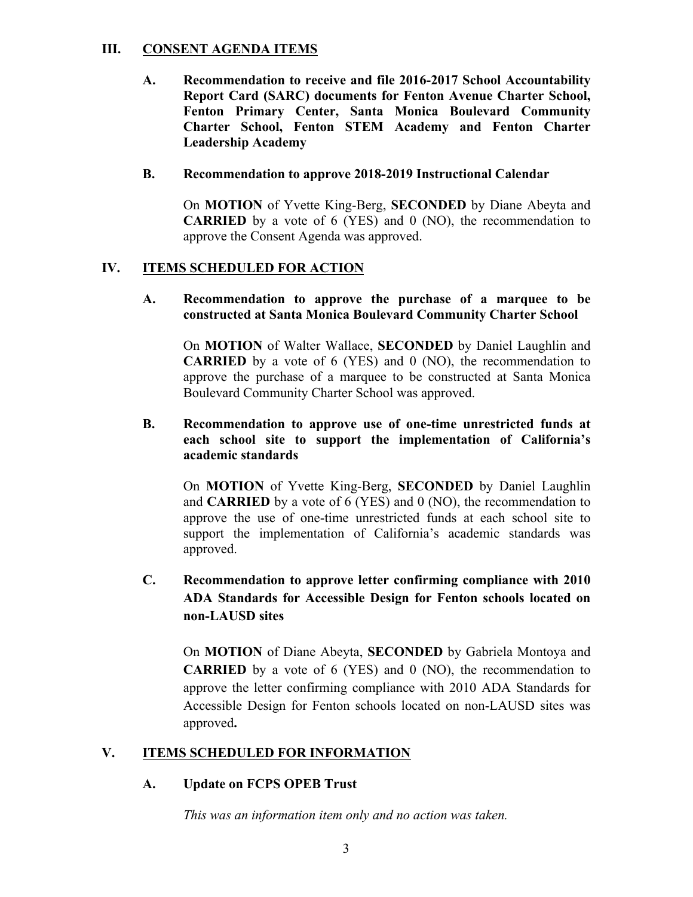## **III. CONSENT AGENDA ITEMS**

**A. Recommendation to receive and file 2016-2017 School Accountability Report Card (SARC) documents for Fenton Avenue Charter School, Fenton Primary Center, Santa Monica Boulevard Community Charter School, Fenton STEM Academy and Fenton Charter Leadership Academy** 

#### **B. Recommendation to approve 2018-2019 Instructional Calendar**

On **MOTION** of Yvette King-Berg, **SECONDED** by Diane Abeyta and **CARRIED** by a vote of 6 (YES) and 0 (NO), the recommendation to approve the Consent Agenda was approved.

### **IV. ITEMS SCHEDULED FOR ACTION**

#### **A. Recommendation to approve the purchase of a marquee to be constructed at Santa Monica Boulevard Community Charter School**

On **MOTION** of Walter Wallace, **SECONDED** by Daniel Laughlin and **CARRIED** by a vote of 6 (YES) and 0 (NO), the recommendation to approve the purchase of a marquee to be constructed at Santa Monica Boulevard Community Charter School was approved.

#### **B. Recommendation to approve use of one-time unrestricted funds at each school site to support the implementation of California's academic standards**

On **MOTION** of Yvette King-Berg, **SECONDED** by Daniel Laughlin and **CARRIED** by a vote of 6 (YES) and 0 (NO), the recommendation to approve the use of one-time unrestricted funds at each school site to support the implementation of California's academic standards was approved.

## **C. Recommendation to approve letter confirming compliance with 2010 ADA Standards for Accessible Design for Fenton schools located on non-LAUSD sites**

On **MOTION** of Diane Abeyta, **SECONDED** by Gabriela Montoya and **CARRIED** by a vote of 6 (YES) and 0 (NO), the recommendation to approve the letter confirming compliance with 2010 ADA Standards for Accessible Design for Fenton schools located on non-LAUSD sites was approved**.**

#### **V. ITEMS SCHEDULED FOR INFORMATION**

#### **A. Update on FCPS OPEB Trust**

*This was an information item only and no action was taken.*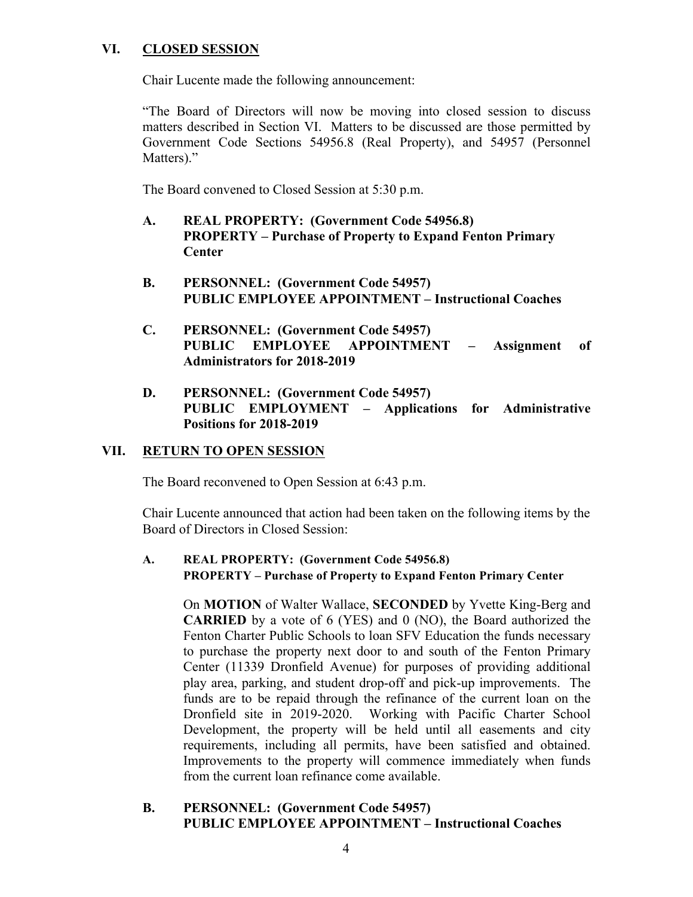## **VI. CLOSED SESSION**

Chair Lucente made the following announcement:

"The Board of Directors will now be moving into closed session to discuss matters described in Section VI. Matters to be discussed are those permitted by Government Code Sections 54956.8 (Real Property), and 54957 (Personnel Matters)."

The Board convened to Closed Session at 5:30 p.m.

- **A. REAL PROPERTY: (Government Code 54956.8) PROPERTY – Purchase of Property to Expand Fenton Primary Center**
- **B. PERSONNEL: (Government Code 54957) PUBLIC EMPLOYEE APPOINTMENT – Instructional Coaches**
- **C. PERSONNEL: (Government Code 54957) PUBLIC EMPLOYEE APPOINTMENT – Assignment of Administrators for 2018-2019**
- **D. PERSONNEL: (Government Code 54957) PUBLIC EMPLOYMENT – Applications for Administrative Positions for 2018-2019**

## **VII. RETURN TO OPEN SESSION**

The Board reconvened to Open Session at 6:43 p.m.

Chair Lucente announced that action had been taken on the following items by the Board of Directors in Closed Session:

### **A. REAL PROPERTY: (Government Code 54956.8) PROPERTY – Purchase of Property to Expand Fenton Primary Center**

On **MOTION** of Walter Wallace, **SECONDED** by Yvette King-Berg and **CARRIED** by a vote of 6 (YES) and 0 (NO), the Board authorized the Fenton Charter Public Schools to loan SFV Education the funds necessary to purchase the property next door to and south of the Fenton Primary Center (11339 Dronfield Avenue) for purposes of providing additional play area, parking, and student drop-off and pick-up improvements. The funds are to be repaid through the refinance of the current loan on the Dronfield site in 2019-2020. Working with Pacific Charter School Development, the property will be held until all easements and city requirements, including all permits, have been satisfied and obtained. Improvements to the property will commence immediately when funds from the current loan refinance come available.

### **B. PERSONNEL: (Government Code 54957) PUBLIC EMPLOYEE APPOINTMENT – Instructional Coaches**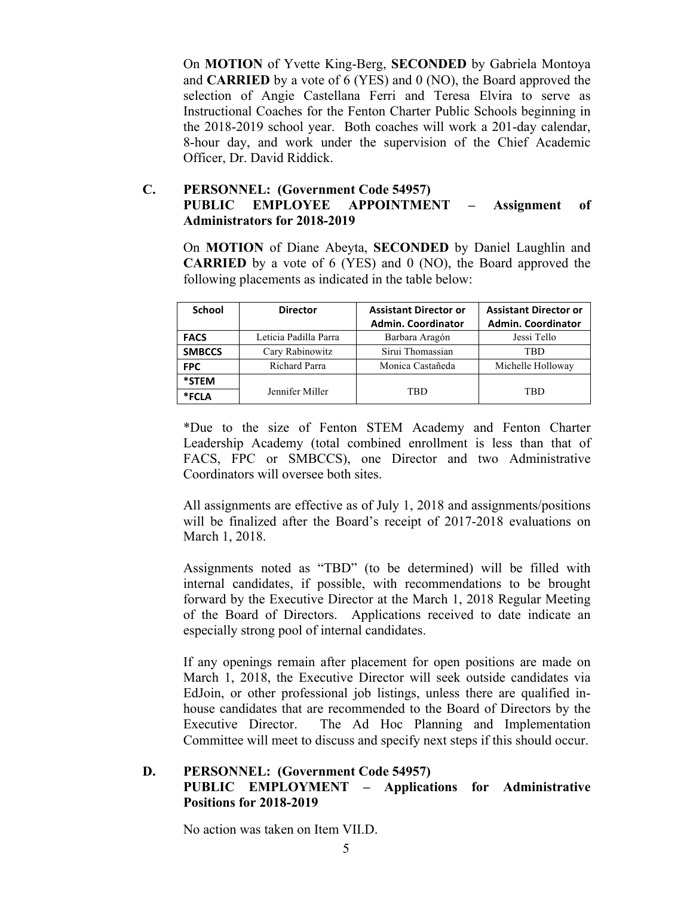On **MOTION** of Yvette King-Berg, **SECONDED** by Gabriela Montoya and **CARRIED** by a vote of 6 (YES) and 0 (NO), the Board approved the selection of Angie Castellana Ferri and Teresa Elvira to serve as Instructional Coaches for the Fenton Charter Public Schools beginning in the 2018-2019 school year. Both coaches will work a 201-day calendar, 8-hour day, and work under the supervision of the Chief Academic Officer, Dr. David Riddick.

## **C. PERSONNEL: (Government Code 54957) PUBLIC EMPLOYEE APPOINTMENT – Assignment of Administrators for 2018-2019**

On **MOTION** of Diane Abeyta, **SECONDED** by Daniel Laughlin and **CARRIED** by a vote of 6 (YES) and 0 (NO), the Board approved the following placements as indicated in the table below:

| <b>School</b> | <b>Director</b>       | <b>Assistant Director or</b> | <b>Assistant Director or</b> |
|---------------|-----------------------|------------------------------|------------------------------|
|               |                       | <b>Admin. Coordinator</b>    | <b>Admin. Coordinator</b>    |
| <b>FACS</b>   | Leticia Padilla Parra | Barbara Aragón               | Jessi Tello                  |
| <b>SMBCCS</b> | Cary Rabinowitz       | Sirui Thomassian             | TBD                          |
| <b>FPC</b>    | Richard Parra         | Monica Castañeda             | Michelle Holloway            |
| *STEM         |                       |                              |                              |
| *FCLA         | Jennifer Miller       | TBD                          | TRD                          |

\*Due to the size of Fenton STEM Academy and Fenton Charter Leadership Academy (total combined enrollment is less than that of FACS, FPC or SMBCCS), one Director and two Administrative Coordinators will oversee both sites.

All assignments are effective as of July 1, 2018 and assignments/positions will be finalized after the Board's receipt of 2017-2018 evaluations on March 1, 2018.

Assignments noted as "TBD" (to be determined) will be filled with internal candidates, if possible, with recommendations to be brought forward by the Executive Director at the March 1, 2018 Regular Meeting of the Board of Directors. Applications received to date indicate an especially strong pool of internal candidates.

If any openings remain after placement for open positions are made on March 1, 2018, the Executive Director will seek outside candidates via EdJoin, or other professional job listings, unless there are qualified inhouse candidates that are recommended to the Board of Directors by the Executive Director. The Ad Hoc Planning and Implementation Committee will meet to discuss and specify next steps if this should occur.

### **D. PERSONNEL: (Government Code 54957) PUBLIC EMPLOYMENT – Applications for Administrative Positions for 2018-2019**

No action was taken on Item VII.D.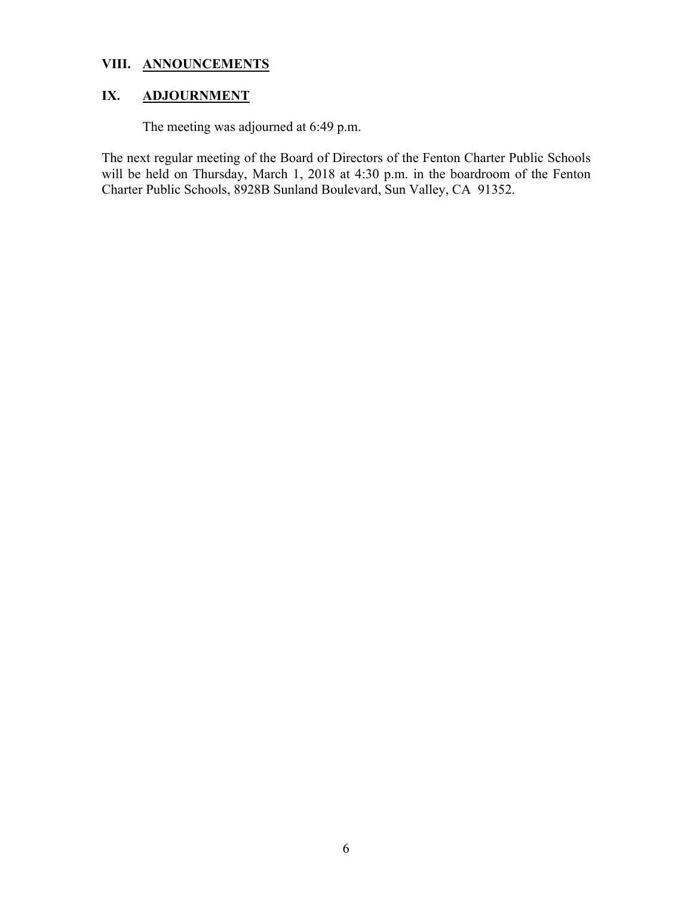## **VIII. ANNOUNCEMENTS**

# **IX. ADJOURNMENT**

# The meeting was adjourned at 6:49 p.m.

The next regular meeting of the Board of Directors of the Fenton Charter Public Schools will be held on Thursday, March 1, 2018 at 4:30 p.m. in the boardroom of the Fenton Charter Public Schools, 8928B Sunland Boulevard, Sun Valley, CA 91352.